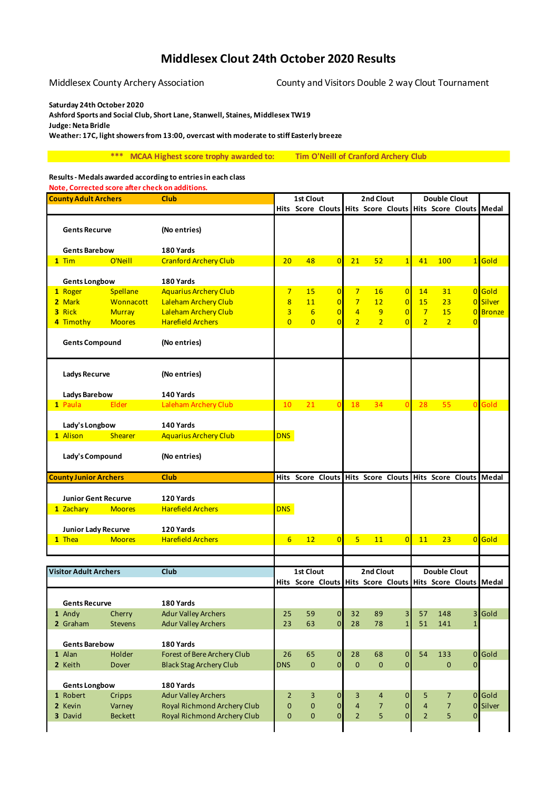## **Middlesex Clout 24th October 2020 Results**

Middlesex County Archery Association County and Visitors Double 2 way Clout Tournament

**Saturday 24th October 2020**

**Ashford Sports and Social Club, Short Lane, Stanwell, Staines, Middlesex TW19 Judge: Neta Bridle**

**Weather: 17C, light showers from 13:00, overcast with moderate to stiff Easterly breeze**

**\*\*\* MCAA Highest score trophy awarded to: Tim O'Neill of Cranford Archery Club**

## **Results - Medals awarded according to entries in each class**

**Note, Corrected score after check on additions.**

| <b>County Adult Archers</b>  |                | <b>Club</b>                        | 1st Clout       |                    |                | 2nd Clout      |                   |                    | <b>Double Clout</b> |                     |                                                             |                 |
|------------------------------|----------------|------------------------------------|-----------------|--------------------|----------------|----------------|-------------------|--------------------|---------------------|---------------------|-------------------------------------------------------------|-----------------|
|                              |                |                                    |                 |                    |                |                |                   |                    |                     |                     | Hits Score Clouts Hits Score Clouts Hits Score Clouts Medal |                 |
| <b>Gents Recurve</b>         |                | (No entries)                       |                 |                    |                |                |                   |                    |                     |                     |                                                             |                 |
| <b>Gents Barebow</b>         |                | 180 Yards                          |                 |                    |                |                |                   |                    |                     |                     |                                                             |                 |
| $1$ Tim                      | O'Neill        | <b>Cranford Archery Club</b>       | 20              | 48                 | $\overline{0}$ | 21             | 52                | $\overline{1}$     | 41                  | 100                 |                                                             | 1 Gold          |
|                              |                |                                    |                 |                    |                |                |                   |                    |                     |                     |                                                             |                 |
| <b>Gents Longbow</b>         |                | 180 Yards                          |                 |                    |                |                |                   |                    |                     |                     |                                                             |                 |
| 1 Roger                      | Spellane       | <b>Aquarius Archery Club</b>       | $\overline{7}$  | 15                 | $\overline{0}$ | $7\overline{}$ | 16                | $\overline{0}$     | 14                  | 31                  |                                                             | 0 Gold          |
| 2 Mark                       | Wonnacott      | Laleham Archery Club               | 8               | 11                 | $\overline{0}$ | $\overline{7}$ | 12                | $\overline{0}$     | 15                  | 23                  |                                                             | 0 Silver        |
| 3 Rick                       | <b>Murray</b>  | Laleham Archery Club               | 3               | $6\overline{6}$    | $\overline{0}$ | $\overline{4}$ | 9                 | $\overline{0}$     | $\overline{7}$      | 15                  |                                                             | <b>0</b> Bronze |
| 4 Timothy                    | <b>Moores</b>  | <b>Harefield Archers</b>           | $\overline{0}$  | $\overline{0}$     | $\overline{0}$ | $\overline{2}$ | $\overline{2}$    | $\overline{0}$     | $\overline{2}$      | $\overline{2}$      | $\Omega$                                                    |                 |
| <b>Gents Compound</b>        |                | (No entries)                       |                 |                    |                |                |                   |                    |                     |                     |                                                             |                 |
| <b>Ladys Recurve</b>         |                | (No entries)                       |                 |                    |                |                |                   |                    |                     |                     |                                                             |                 |
| <b>Ladys Barebow</b>         |                | 140 Yards                          |                 |                    |                |                |                   |                    |                     |                     |                                                             |                 |
| 1 Paula                      | Elder          | Laleham Archery Club               | 10              | 21                 | $\mathbf{0}$   | 18             | 34                | $\Omega$           | 28                  | 55                  |                                                             | 0 Gold          |
|                              |                |                                    |                 |                    |                |                |                   |                    |                     |                     |                                                             |                 |
| Lady's Longbow               |                | 140 Yards                          |                 |                    |                |                |                   |                    |                     |                     |                                                             |                 |
| 1 Alison                     | <b>Shearer</b> | <b>Aquarius Archery Club</b>       | <b>DNS</b>      |                    |                |                |                   |                    |                     |                     |                                                             |                 |
| Lady's Compound              |                | (No entries)                       |                 |                    |                |                |                   |                    |                     |                     |                                                             |                 |
|                              |                |                                    |                 |                    |                |                |                   |                    |                     |                     |                                                             |                 |
| <b>County Junior Archers</b> |                | <b>Club</b>                        |                 |                    |                |                |                   |                    |                     |                     | Hits Score Clouts Hits Score Clouts Hits Score Clouts Medal |                 |
|                              |                |                                    |                 |                    |                |                |                   |                    |                     |                     |                                                             |                 |
| <b>Junior Gent Recurve</b>   |                | 120 Yards                          |                 |                    |                |                |                   |                    |                     |                     |                                                             |                 |
| 1 Zachary                    | <b>Moores</b>  | <b>Harefield Archers</b>           | <b>DNS</b>      |                    |                |                |                   |                    |                     |                     |                                                             |                 |
|                              |                |                                    |                 |                    |                |                |                   |                    |                     |                     |                                                             |                 |
| Junior Lady Recurve          |                | 120 Yards                          |                 |                    |                |                |                   |                    |                     |                     |                                                             |                 |
| 1 Thea                       | <b>Moores</b>  | <b>Harefield Archers</b>           | $6\overline{6}$ | 12                 | $\overline{0}$ | 5              | 11                | $\overline{0}$     | 11                  | 23                  |                                                             | 0 Gold          |
|                              |                |                                    |                 |                    |                |                |                   |                    |                     |                     |                                                             |                 |
|                              |                |                                    |                 |                    |                |                |                   |                    |                     |                     |                                                             |                 |
| <b>Visitor Adult Archers</b> |                | <b>Club</b>                        |                 | <b>1st Clout</b>   |                |                | 2nd Clout         |                    |                     | <b>Double Clout</b> |                                                             |                 |
|                              |                |                                    |                 |                    |                |                |                   |                    |                     |                     | Hits Score Clouts Hits Score Clouts Hits Score Clouts Medal |                 |
|                              |                |                                    |                 |                    |                |                |                   |                    |                     |                     |                                                             |                 |
| <b>Gents Recurve</b>         |                | 180 Yards                          |                 |                    |                |                |                   |                    |                     |                     |                                                             |                 |
| 1 Andy                       | Cherry         | <b>Adur Valley Archers</b>         | 25              | 59                 | $\overline{0}$ | 32             | 89                | 3 <sup>1</sup>     | 57                  | 148                 |                                                             | 3 Gold          |
| 2 Graham                     | <b>Stevens</b> | <b>Adur Valley Archers</b>         | 23              | 63                 | $\overline{O}$ | 28             | 78                | $\mathbf{1}$       | 51                  | 141                 | $\mathbf 1$                                                 |                 |
| <b>Gents Barebow</b>         |                | 180 Yards                          |                 |                    |                |                |                   |                    |                     |                     |                                                             |                 |
| 1 Alan                       | Holder         | Forest of Bere Archery Club        | 26              |                    | $\overline{0}$ | 28             |                   | $\pmb{0}$          | 54                  | 133                 |                                                             | $0$ Gold        |
| 2 Keith                      | <b>Dover</b>   | <b>Black Stag Archery Club</b>     | <b>DNS</b>      | 65<br>$\mathbf{0}$ | $\overline{0}$ | $\pmb{0}$      | 68<br>$\mathbf 0$ | $\overline{0}$     |                     | $\mathbf{0}$        | 0                                                           |                 |
| <b>Gents Longbow</b>         |                | 180 Yards                          |                 |                    |                |                |                   |                    |                     |                     |                                                             |                 |
| 1 Robert                     | Cripps         | <b>Adur Valley Archers</b>         | $\overline{2}$  | 3                  | $\mathbf 0$    | 3              | 4                 | 0                  | 5                   | 7                   |                                                             | $0$ Gold        |
| 2 Kevin                      | Varney         | <b>Royal Richmond Archery Club</b> | 0               | $\mathbf 0$        | $\overline{O}$ | $\overline{4}$ | $\overline{7}$    | $\pmb{\mathsf{O}}$ | $\overline{4}$      | $\overline{7}$      | $\overline{0}$                                              | Silver          |
| 3 David                      | <b>Beckett</b> | Royal Richmond Archery Club        | 0               | $\pmb{0}$          | $\overline{0}$ | $\overline{2}$ | 5                 | $\mathbf 0$        | $\overline{2}$      | 5                   | $\overline{0}$                                              |                 |